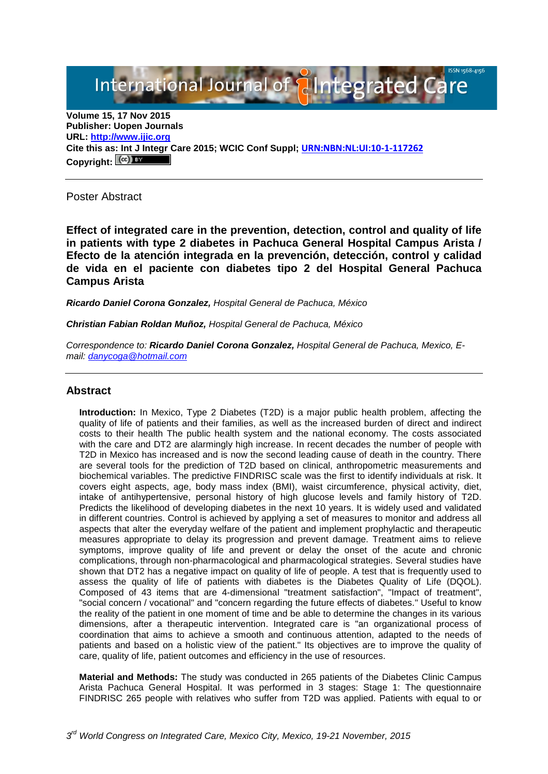International Journal of **Alntegrated Care** 

**Volume 15, 17 Nov 2015 Publisher: Uopen Journals URL: [http://www.ijic.org](http://www.ijic.org/) Cite this as: Int J Integr Care 2015; WCIC Conf Suppl; [URN:NBN:NL:UI:10-1-117262](http://persistent-identifier.nl/?identifier=URN:NBN:NL:UI:10-1-117262) Copyright:**

Poster Abstract

**Effect of integrated care in the prevention, detection, control and quality of life in patients with type 2 diabetes in Pachuca General Hospital Campus Arista / Efecto de la atención integrada en la prevención, detección, control y calidad de vida en el paciente con diabetes tipo 2 del Hospital General Pachuca Campus Arista**

*Ricardo Daniel Corona Gonzalez, Hospital General de Pachuca, México*

*Christian Fabian Roldan Muñoz, Hospital General de Pachuca, México*

*Correspondence to: Ricardo Daniel Corona Gonzalez, Hospital General de Pachuca, Mexico, Email: [danycoga@hotmail.com](mailto:danycoga@hotmail.com)*

## **Abstract**

**Introduction:** In Mexico, Type 2 Diabetes (T2D) is a major public health problem, affecting the quality of life of patients and their families, as well as the increased burden of direct and indirect costs to their health The public health system and the national economy. The costs associated with the care and DT2 are alarmingly high increase. In recent decades the number of people with T2D in Mexico has increased and is now the second leading cause of death in the country. There are several tools for the prediction of T2D based on clinical, anthropometric measurements and biochemical variables. The predictive FINDRISC scale was the first to identify individuals at risk. It covers eight aspects, age, body mass index (BMI), waist circumference, physical activity, diet, intake of antihypertensive, personal history of high glucose levels and family history of T2D. Predicts the likelihood of developing diabetes in the next 10 years. It is widely used and validated in different countries. Control is achieved by applying a set of measures to monitor and address all aspects that alter the everyday welfare of the patient and implement prophylactic and therapeutic measures appropriate to delay its progression and prevent damage. Treatment aims to relieve symptoms, improve quality of life and prevent or delay the onset of the acute and chronic complications, through non-pharmacological and pharmacological strategies. Several studies have shown that DT2 has a negative impact on quality of life of people. A test that is frequently used to assess the quality of life of patients with diabetes is the Diabetes Quality of Life (DQOL). Composed of 43 items that are 4-dimensional "treatment satisfaction", "Impact of treatment", "social concern / vocational" and "concern regarding the future effects of diabetes." Useful to know the reality of the patient in one moment of time and be able to determine the changes in its various dimensions, after a therapeutic intervention. Integrated care is "an organizational process of coordination that aims to achieve a smooth and continuous attention, adapted to the needs of patients and based on a holistic view of the patient." Its objectives are to improve the quality of care, quality of life, patient outcomes and efficiency in the use of resources.

**Material and Methods:** The study was conducted in 265 patients of the Diabetes Clinic Campus Arista Pachuca General Hospital. It was performed in 3 stages: Stage 1: The questionnaire FINDRISC 265 people with relatives who suffer from T2D was applied. Patients with equal to or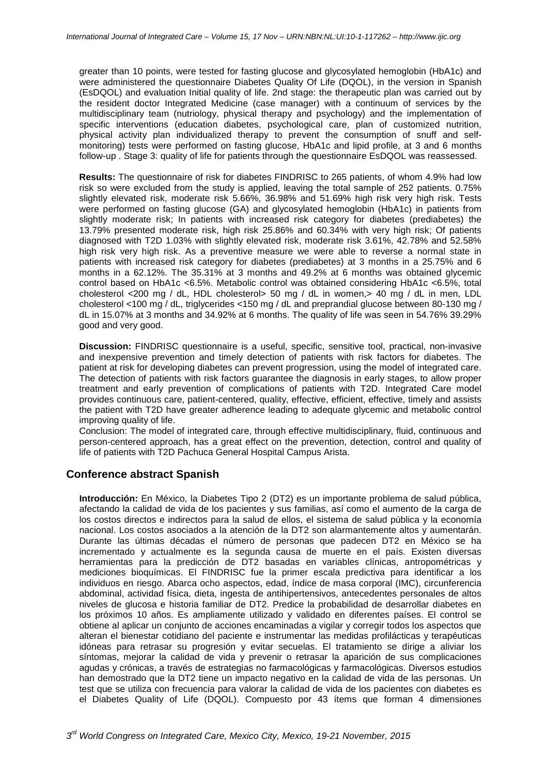greater than 10 points, were tested for fasting glucose and glycosylated hemoglobin (HbA1c) and were administered the questionnaire Diabetes Quality Of Life (DQOL), in the version in Spanish (EsDQOL) and evaluation Initial quality of life. 2nd stage: the therapeutic plan was carried out by the resident doctor Integrated Medicine (case manager) with a continuum of services by the multidisciplinary team (nutriology, physical therapy and psychology) and the implementation of specific interventions (education diabetes, psychological care, plan of customized nutrition, physical activity plan individualized therapy to prevent the consumption of snuff and selfmonitoring) tests were performed on fasting glucose, HbA1c and lipid profile, at 3 and 6 months follow-up . Stage 3: quality of life for patients through the questionnaire EsDQOL was reassessed.

**Results:** The questionnaire of risk for diabetes FINDRISC to 265 patients, of whom 4.9% had low risk so were excluded from the study is applied, leaving the total sample of 252 patients. 0.75% slightly elevated risk, moderate risk 5.66%, 36.98% and 51.69% high risk very high risk. Tests were performed on fasting glucose (GA) and glycosylated hemoglobin (HbA1c) in patients from slightly moderate risk; In patients with increased risk category for diabetes (prediabetes) the 13.79% presented moderate risk, high risk 25.86% and 60.34% with very high risk; Of patients diagnosed with T2D 1.03% with slightly elevated risk, moderate risk 3.61%, 42.78% and 52.58% high risk very high risk. As a preventive measure we were able to reverse a normal state in patients with increased risk category for diabetes (prediabetes) at 3 months in a 25.75% and 6 months in a 62.12%. The 35.31% at 3 months and 49.2% at 6 months was obtained glycemic control based on HbA1c <6.5%. Metabolic control was obtained considering HbA1c <6.5%, total cholesterol <200 mg / dL, HDL cholesterol> 50 mg / dL in women,> 40 mg / dL in men, LDL cholesterol <100 mg / dL, triglycerides <150 mg / dL and preprandial glucose between 80-130 mg / dL in 15.07% at 3 months and 34.92% at 6 months. The quality of life was seen in 54.76% 39.29% good and very good.

**Discussion:** FINDRISC questionnaire is a useful, specific, sensitive tool, practical, non-invasive and inexpensive prevention and timely detection of patients with risk factors for diabetes. The patient at risk for developing diabetes can prevent progression, using the model of integrated care. The detection of patients with risk factors guarantee the diagnosis in early stages, to allow proper treatment and early prevention of complications of patients with T2D. Integrated Care model provides continuous care, patient-centered, quality, effective, efficient, effective, timely and assists the patient with T2D have greater adherence leading to adequate glycemic and metabolic control improving quality of life.

Conclusion: The model of integrated care, through effective multidisciplinary, fluid, continuous and person-centered approach, has a great effect on the prevention, detection, control and quality of life of patients with T2D Pachuca General Hospital Campus Arista.

## **Conference abstract Spanish**

**Introducción:** En México, la Diabetes Tipo 2 (DT2) es un importante problema de salud pública, afectando la calidad de vida de los pacientes y sus familias, así como el aumento de la carga de los costos directos e indirectos para la salud de ellos, el sistema de salud pública y la economía nacional. Los costos asociados a la atención de la DT2 son alarmantemente altos y aumentarán. Durante las últimas décadas el número de personas que padecen DT2 en México se ha incrementado y actualmente es la segunda causa de muerte en el país. Existen diversas herramientas para la predicción de DT2 basadas en variables clínicas, antropométricas y mediciones bioquímicas. El FINDRISC fue la primer escala predictiva para identificar a los individuos en riesgo. Abarca ocho aspectos, edad, índice de masa corporal (IMC), circunferencia abdominal, actividad física, dieta, ingesta de antihipertensivos, antecedentes personales de altos niveles de glucosa e historia familiar de DT2. Predice la probabilidad de desarrollar diabetes en los próximos 10 años. Es ampliamente utilizado y validado en diferentes países. El control se obtiene al aplicar un conjunto de acciones encaminadas a vigilar y corregir todos los aspectos que alteran el bienestar cotidiano del paciente e instrumentar las medidas profilácticas y terapéuticas idóneas para retrasar su progresión y evitar secuelas. El tratamiento se dirige a aliviar los síntomas, mejorar la calidad de vida y prevenir o retrasar la aparición de sus complicaciones agudas y crónicas, a través de estrategias no farmacológicas y farmacológicas. Diversos estudios han demostrado que la DT2 tiene un impacto negativo en la calidad de vida de las personas. Un test que se utiliza con frecuencia para valorar la calidad de vida de los pacientes con diabetes es el Diabetes Quality of Life (DQOL). Compuesto por 43 ítems que forman 4 dimensiones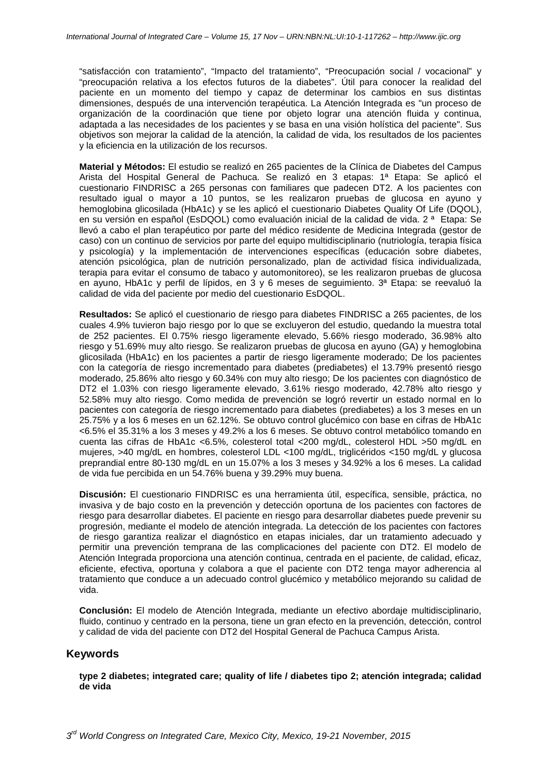"satisfacción con tratamiento", "Impacto del tratamiento", "Preocupación social / vocacional" y "preocupación relativa a los efectos futuros de la diabetes". Útil para conocer la realidad del paciente en un momento del tiempo y capaz de determinar los cambios en sus distintas dimensiones, después de una intervención terapéutica. La Atención Integrada es "un proceso de organización de la coordinación que tiene por objeto lograr una atención fluida y continua, adaptada a las necesidades de los pacientes y se basa en una visión holística del paciente". Sus objetivos son mejorar la calidad de la atención, la calidad de vida, los resultados de los pacientes y la eficiencia en la utilización de los recursos.

**Material y Métodos:** El estudio se realizó en 265 pacientes de la Clínica de Diabetes del Campus Arista del Hospital General de Pachuca. Se realizó en 3 etapas: 1ª Etapa: Se aplicó el cuestionario FINDRISC a 265 personas con familiares que padecen DT2. A los pacientes con resultado igual o mayor a 10 puntos, se les realizaron pruebas de glucosa en ayuno y hemoglobina glicosilada (HbA1c) y se les aplicó el cuestionario Diabetes Quality Of Life (DQOL), en su versión en español (EsDQOL) como evaluación inicial de la calidad de vida. 2 ª Etapa: Se llevó a cabo el plan terapéutico por parte del médico residente de Medicina Integrada (gestor de caso) con un continuo de servicios por parte del equipo multidisciplinario (nutriología, terapia física y psicología) y la implementación de intervenciones específicas (educación sobre diabetes, atención psicológica, plan de nutrición personalizado, plan de actividad física individualizada, terapia para evitar el consumo de tabaco y automonitoreo), se les realizaron pruebas de glucosa en ayuno, HbA1c y perfil de lípidos, en 3 y 6 meses de seguimiento. 3ª Etapa: se reevaluó la calidad de vida del paciente por medio del cuestionario EsDQOL.

**Resultados:** Se aplicó el cuestionario de riesgo para diabetes FINDRISC a 265 pacientes, de los cuales 4.9% tuvieron bajo riesgo por lo que se excluyeron del estudio, quedando la muestra total de 252 pacientes. El 0.75% riesgo ligeramente elevado, 5.66% riesgo moderado, 36.98% alto riesgo y 51.69% muy alto riesgo. Se realizaron pruebas de glucosa en ayuno (GA) y hemoglobina glicosilada (HbA1c) en los pacientes a partir de riesgo ligeramente moderado; De los pacientes con la categoría de riesgo incrementado para diabetes (prediabetes) el 13.79% presentó riesgo moderado, 25.86% alto riesgo y 60.34% con muy alto riesgo; De los pacientes con diagnóstico de DT2 el 1.03% con riesgo ligeramente elevado, 3.61% riesgo moderado, 42.78% alto riesgo y 52.58% muy alto riesgo. Como medida de prevención se logró revertir un estado normal en lo pacientes con categoría de riesgo incrementado para diabetes (prediabetes) a los 3 meses en un 25.75% y a los 6 meses en un 62.12%. Se obtuvo control glucémico con base en cifras de HbA1c <6.5% el 35.31% a los 3 meses y 49.2% a los 6 meses. Se obtuvo control metabólico tomando en cuenta las cifras de HbA1c <6.5%, colesterol total <200 mg/dL, colesterol HDL >50 mg/dL en mujeres, >40 mg/dL en hombres, colesterol LDL <100 mg/dL, triglicéridos <150 mg/dL y glucosa preprandial entre 80-130 mg/dL en un 15.07% a los 3 meses y 34.92% a los 6 meses. La calidad de vida fue percibida en un 54.76% buena y 39.29% muy buena.

**Discusión:** El cuestionario FINDRISC es una herramienta útil, específica, sensible, práctica, no invasiva y de bajo costo en la prevención y detección oportuna de los pacientes con factores de riesgo para desarrollar diabetes. El paciente en riesgo para desarrollar diabetes puede prevenir su progresión, mediante el modelo de atención integrada. La detección de los pacientes con factores de riesgo garantiza realizar el diagnóstico en etapas iniciales, dar un tratamiento adecuado y permitir una prevención temprana de las complicaciones del paciente con DT2. El modelo de Atención Integrada proporciona una atención continua, centrada en el paciente, de calidad, eficaz, eficiente, efectiva, oportuna y colabora a que el paciente con DT2 tenga mayor adherencia al tratamiento que conduce a un adecuado control glucémico y metabólico mejorando su calidad de vida.

**Conclusión:** El modelo de Atención Integrada, mediante un efectivo abordaje multidisciplinario, fluido, continuo y centrado en la persona, tiene un gran efecto en la prevención, detección, control y calidad de vida del paciente con DT2 del Hospital General de Pachuca Campus Arista.

## **Keywords**

**type 2 diabetes; integrated care; quality of life / diabetes tipo 2; atención integrada; calidad de vida**